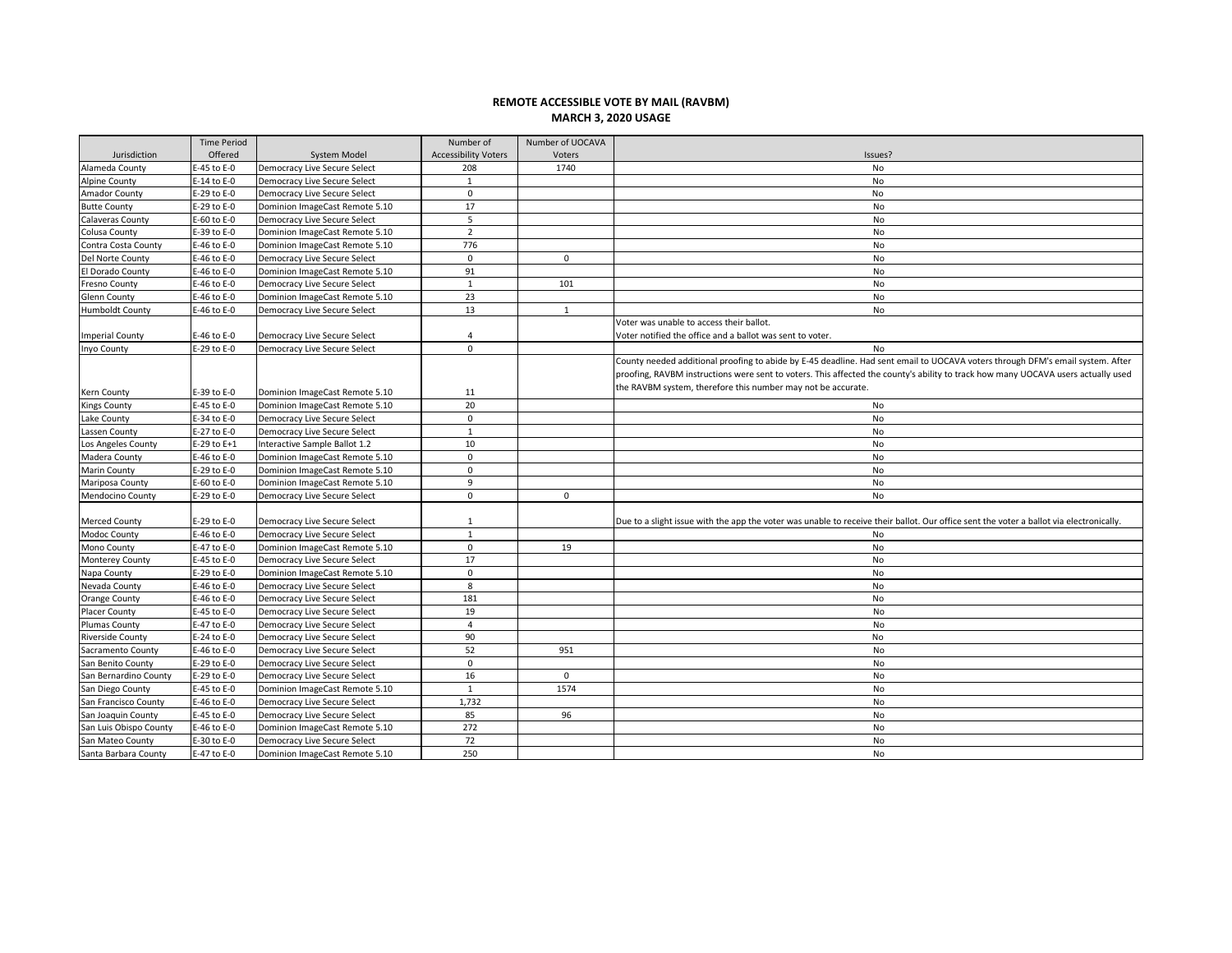## **REMOTE ACCESSIBLE VOTE BY MAIL (RAVBM) MARCH 3, 2020 USAGE**

|                                     | <b>Time Period</b>         |                                                                  | Number of                   | Number of UOCAVA |                                                                                                                                         |
|-------------------------------------|----------------------------|------------------------------------------------------------------|-----------------------------|------------------|-----------------------------------------------------------------------------------------------------------------------------------------|
| Jurisdiction                        | Offered                    | System Model                                                     | <b>Accessibility Voters</b> | Voters           | Issues?                                                                                                                                 |
| Alameda County                      | E-45 to E-0                | Democracy Live Secure Select                                     | 208                         | 1740             | No                                                                                                                                      |
| <b>Alpine County</b>                | E-14 to E-0                | <b>Democracy Live Secure Select</b>                              | 1                           |                  | No                                                                                                                                      |
| Amador County                       | E-29 to E-0                | Democracy Live Secure Select                                     | $\mathbf 0$                 |                  | No                                                                                                                                      |
| <b>Butte County</b>                 | E-29 to E-0                | Dominion ImageCast Remote 5.10                                   | 17                          |                  | No                                                                                                                                      |
| <b>Calaveras County</b>             | E-60 to E-0                | Democracy Live Secure Select                                     | 5                           |                  | No                                                                                                                                      |
| Colusa County                       | E-39 to E-0                | Dominion ImageCast Remote 5.10                                   | $\overline{2}$              |                  | No                                                                                                                                      |
| Contra Costa County                 | E-46 to E-0                | Dominion ImageCast Remote 5.10                                   | 776                         |                  | No                                                                                                                                      |
| Del Norte County                    | E-46 to E-0                | Democracy Live Secure Select                                     | $\mathbf 0$                 | $\mathbf 0$      | No                                                                                                                                      |
| El Dorado County                    | E-46 to E-0                | Dominion ImageCast Remote 5.10                                   | 91                          |                  | No                                                                                                                                      |
| <b>Fresno County</b>                | E-46 to E-0                | Democracy Live Secure Select                                     | $\mathbf{1}$                | 101              | No                                                                                                                                      |
| Glenn County                        | E-46 to E-0                | Dominion ImageCast Remote 5.10                                   | 23                          |                  | No                                                                                                                                      |
| <b>Humboldt County</b>              | E-46 to E-0                | Democracy Live Secure Select                                     | 13                          | $\mathbf{1}$     | No                                                                                                                                      |
|                                     |                            |                                                                  |                             |                  | Voter was unable to access their ballot.                                                                                                |
| <b>Imperial County</b>              | E-46 to E-0                | <b>Democracy Live Secure Select</b>                              | 4                           |                  | Voter notified the office and a ballot was sent to voter.                                                                               |
| Inyo County                         | E-29 to E-0                | Democracy Live Secure Select                                     | $\Omega$                    |                  | No                                                                                                                                      |
|                                     |                            |                                                                  |                             |                  | County needed additional proofing to abide by E-45 deadline. Had sent email to UOCAVA voters through DFM's email system. After          |
|                                     |                            |                                                                  |                             |                  | proofing, RAVBM instructions were sent to voters. This affected the county's ability to track how many UOCAVA users actually used       |
|                                     |                            |                                                                  |                             |                  | the RAVBM system, therefore this number may not be accurate.                                                                            |
| Kern County                         | E-39 to E-0<br>E-45 to E-0 | Dominion ImageCast Remote 5.10<br>Dominion ImageCast Remote 5.10 | 11<br>20                    |                  | No                                                                                                                                      |
| <b>Kings County</b><br>Lake County  | E-34 to E-0                | <b>Democracy Live Secure Select</b>                              | $\mathbf 0$                 |                  | No                                                                                                                                      |
|                                     | E-27 to E-0                | <b>Democracy Live Secure Select</b>                              | $\mathbf{1}$                |                  | No                                                                                                                                      |
| Lassen County                       | $E-29$ to $E+1$            | Interactive Sample Ballot 1.2                                    | 10                          |                  | No                                                                                                                                      |
| Los Angeles County<br>Madera County | E-46 to E-0                | Dominion ImageCast Remote 5.10                                   | $\mathbf 0$                 |                  | No                                                                                                                                      |
|                                     | E-29 to E-0                | Dominion ImageCast Remote 5.10                                   | $\mathbf 0$                 |                  | No                                                                                                                                      |
| Marin County<br>Mariposa County     | E-60 to E-0                | Dominion ImageCast Remote 5.10                                   | 9                           |                  | No                                                                                                                                      |
| <b>Mendocino County</b>             | E-29 to E-0                | Democracy Live Secure Select                                     | $\mathbf 0$                 | $\mathbf 0$      | No                                                                                                                                      |
|                                     |                            |                                                                  |                             |                  |                                                                                                                                         |
| <b>Merced County</b>                | E-29 to E-0                | Democracy Live Secure Select                                     | $\mathbf{1}$                |                  | Due to a slight issue with the app the voter was unable to receive their ballot. Our office sent the voter a ballot via electronically. |
| Modoc County                        | E-46 to E-0                | Democracy Live Secure Select                                     | $\mathbf{1}$                |                  | No                                                                                                                                      |
| Mono County                         | E-47 to E-0                | Dominion ImageCast Remote 5.10                                   | $\mathbf 0$                 | 19               | No                                                                                                                                      |
| <b>Monterey County</b>              | E-45 to E-0                | Democracy Live Secure Select                                     | 17                          |                  | No                                                                                                                                      |
| Napa County                         | E-29 to E-0                | Dominion ImageCast Remote 5.10                                   | $\mathbf 0$                 |                  | No                                                                                                                                      |
| Nevada County                       | E-46 to E-0                | Democracy Live Secure Select                                     | 8                           |                  | No                                                                                                                                      |
| <b>Orange County</b>                | E-46 to E-0                | Democracy Live Secure Select                                     | 181                         |                  | No                                                                                                                                      |
| <b>Placer County</b>                | E-45 to E-0                | Democracy Live Secure Select                                     | 19                          |                  | No                                                                                                                                      |
| Plumas County                       | E-47 to E-0                | Democracy Live Secure Select                                     | $\overline{4}$              |                  | No                                                                                                                                      |
| <b>Riverside County</b>             | E-24 to E-0                | Democracy Live Secure Select                                     | 90                          |                  | No                                                                                                                                      |
| Sacramento County                   | E-46 to E-0                | Democracy Live Secure Select                                     | 52                          | 951              | No                                                                                                                                      |
| San Benito County                   | E-29 to E-0                | Democracy Live Secure Select                                     | $\mathbf 0$                 |                  | No                                                                                                                                      |
| San Bernardino County               | E-29 to E-0                | Democracy Live Secure Select                                     | 16                          | $\mathbf 0$      | No                                                                                                                                      |
| San Diego County                    | E-45 to E-0                | Dominion ImageCast Remote 5.10                                   | 1                           | 1574             | No                                                                                                                                      |
| San Francisco County                | E-46 to E-0                | <b>Democracy Live Secure Select</b>                              | 1,732                       |                  | <b>No</b>                                                                                                                               |
| San Joaquin County                  | E-45 to E-0                | Democracy Live Secure Select                                     | 85                          | 96               | No                                                                                                                                      |
| San Luis Obispo County              | E-46 to E-0                | Dominion ImageCast Remote 5.10                                   | 272                         |                  | No                                                                                                                                      |
| San Mateo County                    | E-30 to E-0                | Democracy Live Secure Select                                     | 72                          |                  | No                                                                                                                                      |
| Santa Barbara County                | E-47 to E-0                | Dominion ImageCast Remote 5.10                                   | 250                         |                  | <b>No</b>                                                                                                                               |